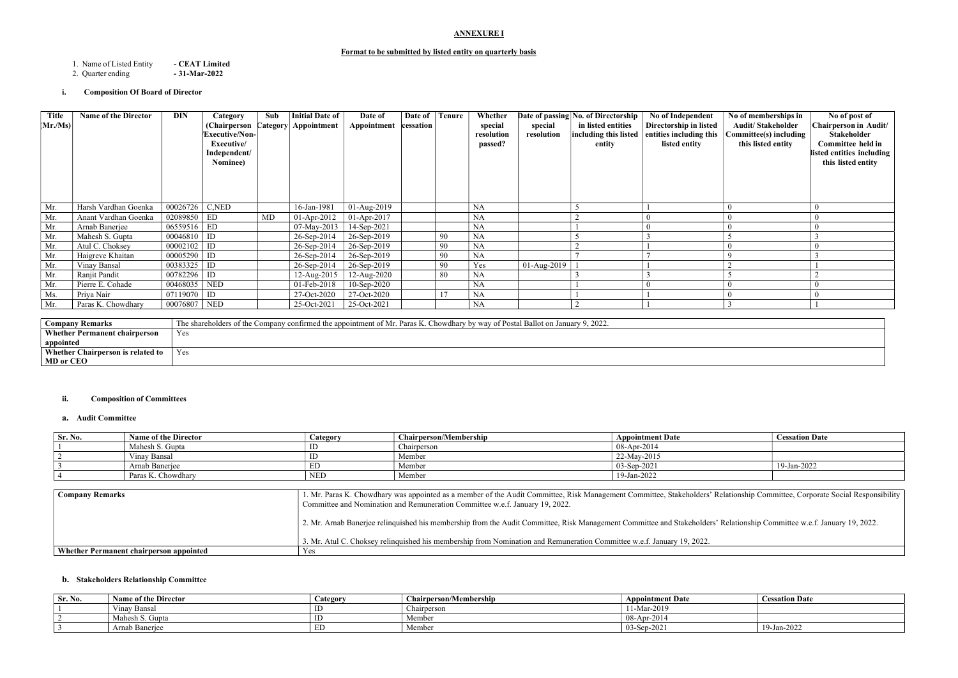# ANNEXURE I

#### Format to be submitted by listed entity on quarterly basis

1. Name of Listed Entity - **CEAT Limited**<br>2. Quarter ending - **31-Mar-2022** 

2. Quarter ending

# i. Composition Of Board of Director

| <b>Company Remarks</b>                   | The shareholders of the Company confirmed the appointment of Mr. Paras K. Chowdhary by way of Postal Ballot on January 9, 2022. |
|------------------------------------------|---------------------------------------------------------------------------------------------------------------------------------|
| <b>Whether Permanent chairperson</b>     | Yes                                                                                                                             |
| appointed                                |                                                                                                                                 |
| <b>Whether Chairperson is related to</b> | Yes                                                                                                                             |
| MD or CEO                                |                                                                                                                                 |
|                                          |                                                                                                                                 |

#### ii. Composition of Committees

#### a. Audit Committee

| Sr. No. | <b>Name of the Director</b> | Category   | <b>Chairperson/Membership</b> | <b>Appointment Date</b> | <b>Cessation Date</b> |
|---------|-----------------------------|------------|-------------------------------|-------------------------|-----------------------|
|         | Mahesh S. Gupta             |            | Chairperson                   | $^{+}$ 08-Apr-2014      |                       |
|         | Vinay Bansal                |            | Member                        | 22-May-2015             |                       |
|         | Arnab Baneriee              | EΓ         | Member                        | $03-Sep-202$            | 19-Jan-2022           |
|         | Paras K. Chowdhary          | <b>NED</b> | Member                        | 19-Jan-2022             |                       |

| <b>Company Remarks</b>                  | 1. Mr. Paras K. Chowdhary was appointed as a member of the Audit Committee, Risk Management Committee, Stakeholders' Re<br>Committee and Nomination and Remuneration Committee w.e.f. January 19, 2022. |
|-----------------------------------------|---------------------------------------------------------------------------------------------------------------------------------------------------------------------------------------------------------|
|                                         | 2. Mr. Arnab Banerjee relinquished his membership from the Audit Committee, Risk Management Committee and Stakeholders' F                                                                               |
|                                         | 3. Mr. Atul C. Choksey relinguished his membership from Nomination and Remuneration Committee w.e.f. January 19, 2022.                                                                                  |
| Whether Permanent chairperson appointed | Yes                                                                                                                                                                                                     |

# b. Stakeholders Relationship Committee

| Sr. No. | <b>Name of the Director</b>  | Category | Chairperson/Membership | <b>Appointment Date</b> | <b>Cessation Date</b> |
|---------|------------------------------|----------|------------------------|-------------------------|-----------------------|
|         | $\mathbf{v}$<br>Vinay Bansal | ID       | Chairperson            | 11-Mar-2019             |                       |
|         | Mahesh S. Gupta              | ID       | Member                 | $08$ -Apr-2014          |                       |
|         | Arnab Banerjee               | ED       | Member                 | $03-Sep-2021$           | 19-Jan-2022           |

| <b>Cessation Date</b> |
|-----------------------|
|                       |
|                       |
| 19-Jan-2022           |
|                       |

elationship Committee, Corporate Social Responsibility

Relationship Committee w.e.f. January 19, 2022.

| <b>Title</b><br>$ \mathbf{Mr.}/\mathbf{Ms}) $ | <b>Name of the Director</b> | DIN              | Category<br>(Chairperson (<br>Executive/Non-<br>Executive/<br>Independent/<br>Nominee) | Sub<br>Category | Initial Date of<br>Appointment | Date of<br>Appointment | Date of<br>cessation | <b>Tenure</b> | Whether<br>special<br>resolution<br>passed? | special<br>resolution | Date of passing No. of Directorship<br>in listed entities<br>entity | No of Independent<br>Directorship in listed<br>$ $ including this listed $ $ entities including this<br>listed entity | No of memberships in<br><b>Audit/Stakeholder</b><br>Committee(s) including<br>this listed entity | No of post of<br><b>Chairperson in Audit/</b><br>Stakeholder<br>Committee held in<br>listed entities including<br>this listed entity |
|-----------------------------------------------|-----------------------------|------------------|----------------------------------------------------------------------------------------|-----------------|--------------------------------|------------------------|----------------------|---------------|---------------------------------------------|-----------------------|---------------------------------------------------------------------|-----------------------------------------------------------------------------------------------------------------------|--------------------------------------------------------------------------------------------------|--------------------------------------------------------------------------------------------------------------------------------------|
| Mr.                                           | Harsh Vardhan Goenka        | $00026726$ C,NED |                                                                                        |                 | 16-Jan-1981                    | $01-Aug-2019$          |                      |               | <b>NA</b>                                   |                       |                                                                     |                                                                                                                       |                                                                                                  |                                                                                                                                      |
| Mr.                                           | Anant Vardhan Goenka        | 02089850 ED      |                                                                                        | MD              | $01-Apr-2012$                  | $01-Apr-2017$          |                      |               | <b>NA</b>                                   |                       |                                                                     | $\Omega$                                                                                                              |                                                                                                  | $\bf{0}$                                                                                                                             |
| Mr.                                           | Arnab Banerjee              | $06559516$ ED    |                                                                                        |                 | 07-May-2013                    | 14-Sep-2021            |                      |               | <b>NA</b>                                   |                       |                                                                     |                                                                                                                       |                                                                                                  |                                                                                                                                      |
| Mr.                                           | Mahesh S. Gupta             | $00046810$ ID    |                                                                                        |                 | 26-Sep-2014                    | 26-Sep-2019            |                      | 90            | <b>NA</b>                                   |                       |                                                                     |                                                                                                                       |                                                                                                  |                                                                                                                                      |
| Mr.                                           | Atul C. Choksey             | $00002102$ ID    |                                                                                        |                 | 26-Sep-2014                    | 26-Sep-2019            |                      | 90            | <b>NA</b>                                   |                       |                                                                     |                                                                                                                       |                                                                                                  |                                                                                                                                      |
| Mr.                                           | Haigreve Khaitan            | $00005290$ ID    |                                                                                        |                 | 26-Sep-2014                    | 26-Sep-2019            |                      | 90            | <b>NA</b>                                   |                       |                                                                     |                                                                                                                       |                                                                                                  |                                                                                                                                      |
| Mr.                                           | Vinay Bansal                | $00383325$ ID    |                                                                                        |                 | 26-Sep-2014                    | 26-Sep-2019            |                      | 90            | Yes                                         | $01-Aug-2019$         |                                                                     |                                                                                                                       |                                                                                                  |                                                                                                                                      |
| Mr.                                           | Ranjit Pandit               | $00782296$ ID    |                                                                                        |                 | 12-Aug-2015                    | 12-Aug-2020            |                      | 80            | <b>NA</b>                                   |                       |                                                                     |                                                                                                                       |                                                                                                  |                                                                                                                                      |
| Mr.                                           | Pierre E. Cohade            | 00468035   NED   |                                                                                        |                 | 01-Feb-2018                    | $10-Sep-2020$          |                      |               | <b>NA</b>                                   |                       |                                                                     | $\Omega$                                                                                                              |                                                                                                  | $\left( 0 \right)$                                                                                                                   |
| Ms.                                           | Priya Nair                  | $07119070$ ID    |                                                                                        |                 | 27-Oct-2020                    | 27-Oct-2020            |                      | 17            | <b>NA</b>                                   |                       |                                                                     |                                                                                                                       |                                                                                                  |                                                                                                                                      |
| Mr.                                           | Paras K. Chowdhary          | 00076807 NED     |                                                                                        |                 | 25-Oct-2021                    | 25-Oct-2021            |                      |               | <b>NA</b>                                   |                       |                                                                     |                                                                                                                       |                                                                                                  |                                                                                                                                      |
|                                               |                             |                  |                                                                                        |                 |                                |                        |                      |               |                                             |                       |                                                                     |                                                                                                                       |                                                                                                  |                                                                                                                                      |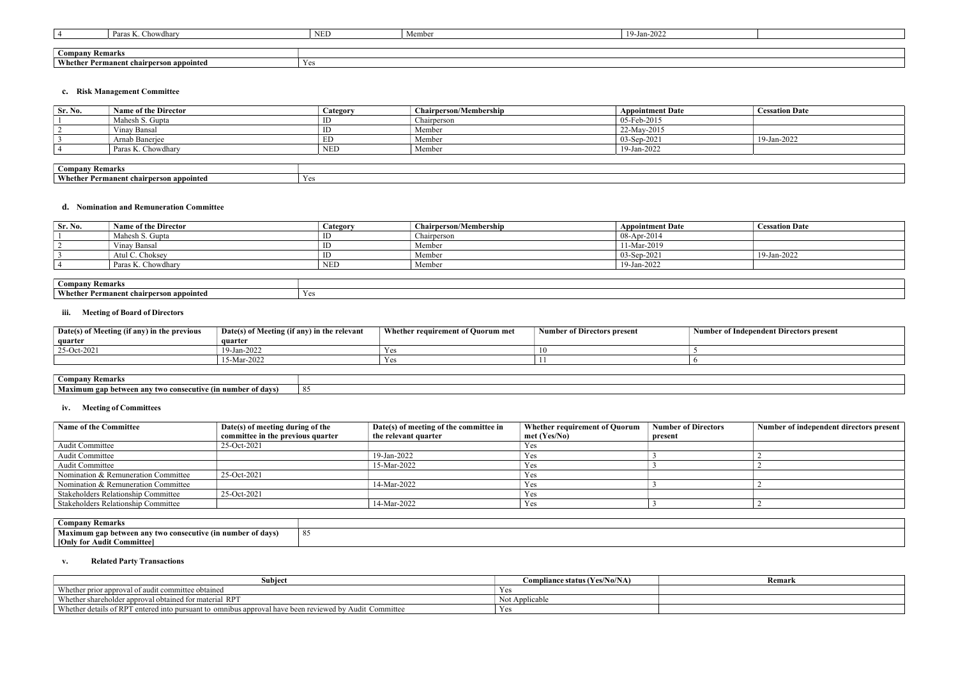|               | $\mathbf{r}$<br>Paras<br>∠howdharv      | <b>NED</b>  | Member | 9-Jan-2022<br>10 |
|---------------|-----------------------------------------|-------------|--------|------------------|
|               |                                         |             |        |                  |
| <b>Compan</b> | <b>Remarks</b>                          |             |        |                  |
|               | Whether Permanent chairperson appointed | $-$<br>Y es |        |                  |

# c. Risk Management Committee

| Sr. No.                                        | <b>Name of the Director</b> | Category   | <b>Chairperson/Membership</b> | <b>Appointment Date</b> | <b>Cessation Date</b> |
|------------------------------------------------|-----------------------------|------------|-------------------------------|-------------------------|-----------------------|
|                                                | Mahesh S. Gupta             |            | Chairperson                   | 05-Feb-2015             |                       |
|                                                | Vinay Bansal                | ID         | Member                        | 22-May-2015             |                       |
|                                                | Arnab Banerjee              | ED         | Member                        | 03-Sep-2021             | 19-Jan-2022           |
|                                                | Paras K. Chowdhary          | <b>NED</b> | Member                        | 19-Jan-2022             |                       |
|                                                |                             |            |                               |                         |                       |
| <b>Company Remarks</b>                         |                             |            |                               |                         |                       |
| <b>Whether Permanent chairperson appointed</b> |                             | Yes        |                               |                         |                       |

#### d. Nomination and Remuneration Committee

| $\mathsf{S}_r$ . No. | <b>Name of the Director</b> | Category   | <b>Chairperson/Membership</b> | <b>Appointment Date</b> | <b>Cessation Date</b> |
|----------------------|-----------------------------|------------|-------------------------------|-------------------------|-----------------------|
|                      | Mahesh S. Gupta             |            | Chairperson                   | 08-Apr-2014             |                       |
|                      | Vinav Bansal                |            | Member                        | 11-Mar-2019             |                       |
|                      | Atul C. Choksey             |            | Member                        | 03-Sep-2021             | 19-Jan-2022           |
|                      | Paras K. Chowdhary          | <b>NED</b> | Member                        | 19-Jan-2022             |                       |
|                      |                             |            |                               |                         |                       |

| $\sim$ ompany<br><b>Kemark</b>                            |     |
|-----------------------------------------------------------|-----|
| $\mathbf{X}$<br>hairperson appointed<br>rmanent-<br>ether | Yes |

#### iii. Meeting of Board of Directors

| Date(s) of Meeting (if any) in the previous | Date(s) of Meeting (if any) in the relevant | Whether requirement of Quorum met | <b>Number of Directors present</b> | Number |
|---------------------------------------------|---------------------------------------------|-----------------------------------|------------------------------------|--------|
| quarter                                     | quarter                                     |                                   |                                    |        |
| 25-Oct-2021                                 | 19-Jan-2022                                 | Y es                              | 16                                 |        |
|                                             | 15-Mar-2022                                 | Y es                              |                                    |        |

| <b>Company</b><br><b>Kemarks</b>                                                                |             |
|-------------------------------------------------------------------------------------------------|-------------|
| 1176<br>ecutive (in .<br>-any<br>xımum<br>⊣vl 9™<br>-two-<br><b>CO</b><br>gan no<br>∡wee<br>. . | - O 4<br>0. |

# iv. Meeting of Committees

| <b>Name of the Committee</b>        | Date(s) of meeting during of the<br>committee in the previous quarter | Date(s) of meeting of the committee in<br>the relevant quarter | <b>Whether requirement of Quorum</b><br>$met$ (Yes/No) | <b>Number of Directors</b><br>present | Number of independent directors present |
|-------------------------------------|-----------------------------------------------------------------------|----------------------------------------------------------------|--------------------------------------------------------|---------------------------------------|-----------------------------------------|
| Audit Committee                     | 25-Oct-2021                                                           |                                                                | Yes                                                    |                                       |                                         |
| Audit Committee                     |                                                                       | 19-Jan-2022                                                    | Yes                                                    |                                       |                                         |
| Audit Committee                     |                                                                       | 15-Mar-2022                                                    | Yes                                                    |                                       |                                         |
| Nomination & Remuneration Committee | 25-Oct-2021                                                           |                                                                | Yes                                                    |                                       |                                         |
| Nomination & Remuneration Committee |                                                                       | 14-Mar-2022                                                    | Yes                                                    |                                       |                                         |
| Stakeholders Relationship Committee | 25-Oct-2021                                                           |                                                                | Yes                                                    |                                       |                                         |
| Stakeholders Relationship Committee |                                                                       | 14-Mar-2022                                                    | Yes                                                    |                                       |                                         |
|                                     |                                                                       |                                                                |                                                        |                                       |                                         |

| $\sim$ $\sim$ $\sim$ $\sim$<br>.                    |          |
|-----------------------------------------------------|----------|
| Maximu<br>ahar a<br>' davs<br>`twe.<br>TW<br>$\sim$ | $\Omega$ |
| $\blacksquare$ [Only<br>mıttee                      |          |

# v. Related Party Transactions

| <b>Subject</b>                                                                                              | Compliance status (Yes/No/NA) | Remark |
|-------------------------------------------------------------------------------------------------------------|-------------------------------|--------|
| Whether prior approval of audit committee obtained                                                          |                               |        |
| Whether shareholder approval obtained for material RPT                                                      | Not Applicable                |        |
| Whether details of RPT<br>T entered into pursuant to omnibus approval have been reviewed by Audit Committee | Y es                          |        |

# r of Independent Directors present

| Remark |  |
|--------|--|
|        |  |
|        |  |
|        |  |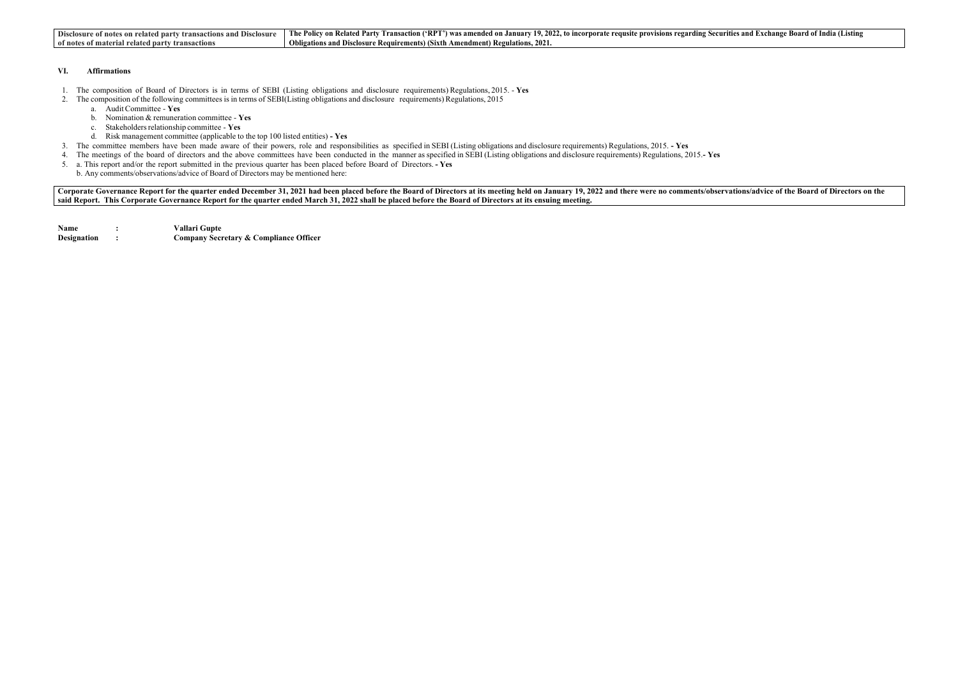| Disclosure of notes on related party transactions | v Transaction ('RPT') was amended on January 19, 2022, to incorporate requsite provisions regarding Secu |
|---------------------------------------------------|----------------------------------------------------------------------------------------------------------|
| s and Disclosure                                  | The Policy on Related Party                                                                              |
| of notes                                          | Obligations and Disclosure Requirements) (Sixth Amendment) Regulations, 2                                |
| s of material related party transactions \        | <b>202</b>                                                                                               |

#### VI. Affirmations

- 1. The composition of Board of Directors is in terms of SEBI (Listing obligations and disclosure requirements) Regulations, 2015. Yes
- 2. The composition of the following committees is in terms of SEBI(Listing obligations and disclosure requirements) Regulations, 2015
	- a. Audit Committee Yes
		- b. Nomination  $&$  remuneration committee Yes
		- c. Stakeholders relationship committee Yes
	- d. Risk management committee (applicable to the top 100 listed entities) Yes
- 3. The committee members have been made aware of their powers, role and responsibilities as specified in SEBI (Listing obligations and disclosure requirements) Regulations, 2015. Yes
- 4. The meetings of the board of directors and the above committees have been conducted in the manner as specified in SEBI (Listing obligations and disclosure requirements) Regulations, 2015.-Yes
- 5. a. This report and/or the report submitted in the previous quarter has been placed before Board of Directors. Yes
	- b. Any comments/observations/advice of Board of Directors may be mentioned here:

Corporate Governance Report for the quarter ended December 31, 2021 had been placed before the Board of Directors at its meeting held on January 19, 2022 and there were no comments/observations/advice of the Board of Direc said Report. This Corporate Governance Report for the quarter ended March 31, 2022 shall be placed before the Board of Directors at its ensuing meeting.

| <b>Name</b>        | Vallari Gupte                                     |
|--------------------|---------------------------------------------------|
| <b>Designation</b> | <b>Company Secretary &amp; Compliance Officer</b> |

#### The Parties and Exchange Board of India (Listing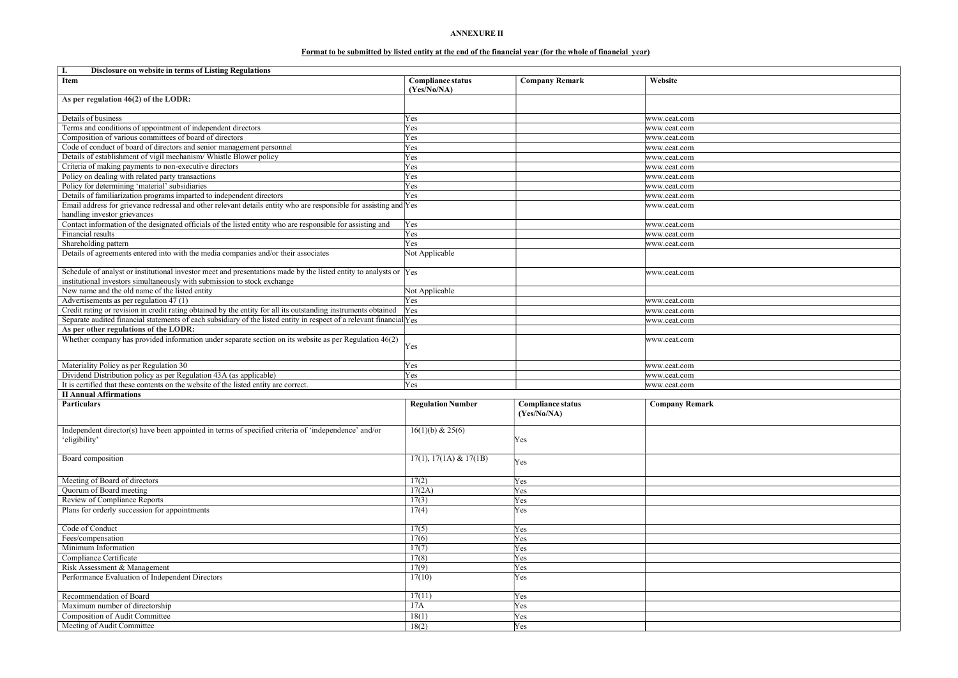# ANNEXURE II

# Format to be submitted by listed entity at the end of the financial year (for the whole of financial year)

| Disclosure on website in terms of Listing Regulations<br>I.                                                                                                                                   |                                         |                                         |                       |
|-----------------------------------------------------------------------------------------------------------------------------------------------------------------------------------------------|-----------------------------------------|-----------------------------------------|-----------------------|
| Item                                                                                                                                                                                          | <b>Compliance status</b><br>(Yes/No/NA) | <b>Company Remark</b>                   | Website               |
| As per regulation 46(2) of the LODR:                                                                                                                                                          |                                         |                                         |                       |
| Details of business                                                                                                                                                                           | Yes                                     |                                         | www.ceat.com          |
| Terms and conditions of appointment of independent directors                                                                                                                                  | Yes                                     |                                         | www.ceat.com          |
| Composition of various committees of board of directors                                                                                                                                       | Yes                                     |                                         | www.ceat.com          |
| Code of conduct of board of directors and senior management personnel                                                                                                                         | Yes                                     |                                         | www.ceat.com          |
| Details of establishment of vigil mechanism/ Whistle Blower policy                                                                                                                            | Yes                                     |                                         | www.ceat.com          |
| Criteria of making payments to non-executive directors                                                                                                                                        | Yes                                     |                                         | www.ceat.com          |
| Policy on dealing with related party transactions                                                                                                                                             | Yes                                     |                                         | www.ceat.com          |
| Policy for determining 'material' subsidiaries                                                                                                                                                | Yes                                     |                                         | www.ceat.com          |
| Details of familiarization programs imparted to independent directors                                                                                                                         | Yes                                     |                                         | www.ceat.com          |
| Email address for grievance redressal and other relevant details entity who are responsible for assisting and Yes                                                                             |                                         |                                         | www.ceat.com          |
| handling investor grievances                                                                                                                                                                  |                                         |                                         |                       |
| Contact information of the designated officials of the listed entity who are responsible for assisting and                                                                                    | Yes                                     |                                         |                       |
| Financial results                                                                                                                                                                             | Yes                                     |                                         | www.ceat.com          |
|                                                                                                                                                                                               | Yes                                     |                                         | www.ceat.com          |
| Shareholding pattern                                                                                                                                                                          |                                         |                                         | www.ceat.com          |
| Details of agreements entered into with the media companies and/or their associates                                                                                                           | Not Applicable                          |                                         |                       |
| Schedule of analyst or institutional investor meet and presentations made by the listed entity to analysts or Yes<br>institutional investors simultaneously with submission to stock exchange |                                         |                                         | www.ceat.com          |
| New name and the old name of the listed entity                                                                                                                                                | Not Applicable                          |                                         |                       |
| Advertisements as per regulation 47 (1)                                                                                                                                                       | Yes                                     |                                         | www.ceat.com          |
| Credit rating or revision in credit rating obtained by the entity for all its outstanding instruments obtained                                                                                | Yes                                     |                                         | www.ceat.com          |
| Separate audited financial statements of each subsidiary of the listed entity in respect of a relevant financial Yes                                                                          |                                         |                                         | www.ceat.com          |
| As per other regulations of the LODR:                                                                                                                                                         |                                         |                                         |                       |
| Whether company has provided information under separate section on its website as per Regulation $46(2)$                                                                                      |                                         |                                         | www.ceat.com          |
|                                                                                                                                                                                               | Yes                                     |                                         |                       |
| Materiality Policy as per Regulation 30                                                                                                                                                       | Yes                                     |                                         | www.ceat.com          |
| Dividend Distribution policy as per Regulation 43A (as applicable)                                                                                                                            | Yes                                     |                                         | www.ceat.com          |
| It is certified that these contents on the website of the listed entity are correct.                                                                                                          | <b>Yes</b>                              |                                         | www.ceat.com          |
| <b>II Annual Affirmations</b>                                                                                                                                                                 |                                         |                                         |                       |
| <b>Particulars</b>                                                                                                                                                                            | <b>Regulation Number</b>                | <b>Compliance status</b><br>(Yes/No/NA) | <b>Company Remark</b> |
| Independent director(s) have been appointed in terms of specified criteria of 'independence' and/or<br>'eligibility'                                                                          | 16(1)(b) & 25(6)                        | Yes                                     |                       |
| Board composition                                                                                                                                                                             | $17(1), 17(1A) \& 17(1B)$               | Yes                                     |                       |
| Meeting of Board of directors                                                                                                                                                                 | 17(2)                                   | Yes                                     |                       |
| Quorum of Board meeting                                                                                                                                                                       | 17(2A)                                  | Yes                                     |                       |
| Review of Compliance Reports                                                                                                                                                                  | 17(3)                                   | Yes                                     |                       |
| Plans for orderly succession for appointments                                                                                                                                                 | 17(4)                                   | Yes                                     |                       |
| Code of Conduct                                                                                                                                                                               | 17(5)                                   | Yes                                     |                       |
| Fees/compensation                                                                                                                                                                             | 17(6)                                   | Yes                                     |                       |
| Minimum Information                                                                                                                                                                           | 17(7)                                   | Yes                                     |                       |
| Compliance Certificate                                                                                                                                                                        | 17(8)                                   | Yes                                     |                       |
| Risk Assessment & Management                                                                                                                                                                  | 17(9)                                   | Yes                                     |                       |
| Performance Evaluation of Independent Directors                                                                                                                                               | 17(10)                                  | Yes                                     |                       |
|                                                                                                                                                                                               |                                         |                                         |                       |
| Recommendation of Board                                                                                                                                                                       | 17(11)                                  | Yes                                     |                       |
| Maximum number of directorship                                                                                                                                                                | 17A                                     | Yes                                     |                       |
| <b>Composition of Audit Committee</b>                                                                                                                                                         | 18(1)                                   | Yes                                     |                       |
| Meeting of Audit Committee                                                                                                                                                                    | 18(2)                                   | Yes                                     |                       |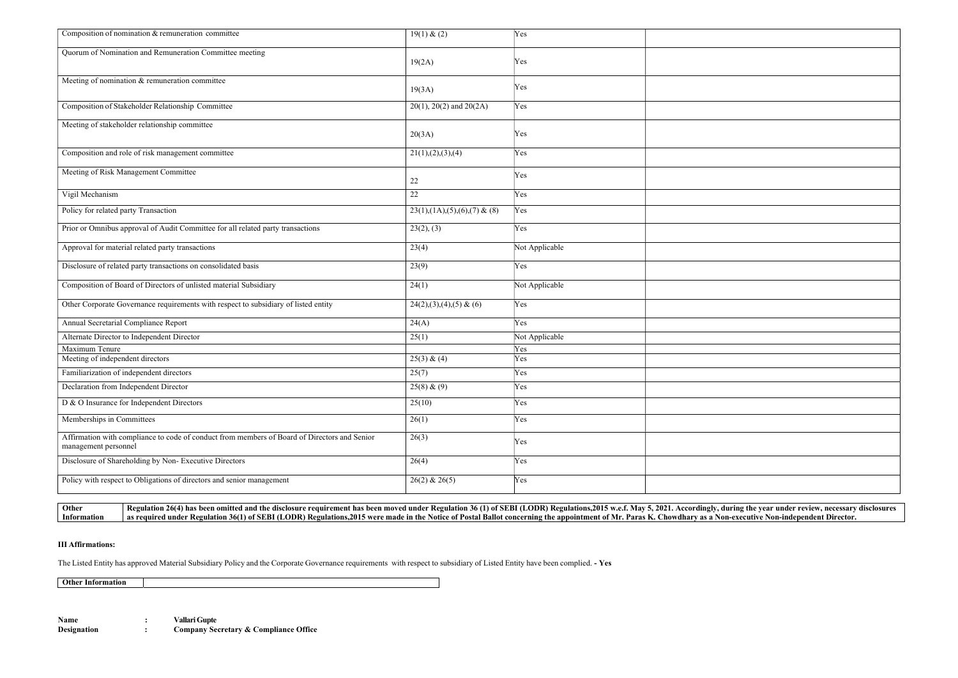| Composition of nomination & remuneration committee                                                                   | 19(1) & (2)                    | Yes            |  |
|----------------------------------------------------------------------------------------------------------------------|--------------------------------|----------------|--|
| Quorum of Nomination and Remuneration Committee meeting                                                              | 19(2A)                         | Yes            |  |
| Meeting of nomination & remuneration committee                                                                       | 19(3A)                         | Yes            |  |
| Composition of Stakeholder Relationship Committee                                                                    | $20(1)$ , $20(2)$ and $20(2A)$ | Yes            |  |
| Meeting of stakeholder relationship committee                                                                        | 20(3A)                         | Yes            |  |
| Composition and role of risk management committee                                                                    | 21(1), (2), (3), (4)           | Yes            |  |
| Meeting of Risk Management Committee                                                                                 | 22                             | Yes            |  |
| Vigil Mechanism                                                                                                      | 22                             | Yes            |  |
| Policy for related party Transaction                                                                                 | $23(1),(1A),(5),(6),(7)$ & (8) | Yes            |  |
| Prior or Omnibus approval of Audit Committee for all related party transactions                                      | 23(2), (3)                     | Yes            |  |
| Approval for material related party transactions                                                                     | 23(4)                          | Not Applicable |  |
| Disclosure of related party transactions on consolidated basis                                                       | 23(9)                          | Yes            |  |
| Composition of Board of Directors of unlisted material Subsidiary                                                    | 24(1)                          | Not Applicable |  |
| Other Corporate Governance requirements with respect to subsidiary of listed entity                                  | $24(2),(3),(4),(5)$ & (6)      | Yes            |  |
| Annual Secretarial Compliance Report                                                                                 | 24(A)                          | Yes            |  |
| Alternate Director to Independent Director                                                                           | 25(1)                          | Not Applicable |  |
| Maximum Tenure                                                                                                       |                                | Yes            |  |
| Meeting of independent directors                                                                                     | 25(3) & (4)                    | Yes            |  |
| Familiarization of independent directors                                                                             | 25(7)                          | Yes            |  |
| Declaration from Independent Director                                                                                | $25(8)$ & (9)                  | Yes            |  |
| D & O Insurance for Independent Directors                                                                            | 25(10)                         | Yes            |  |
| Memberships in Committees                                                                                            | 26(1)                          | Yes            |  |
| Affirmation with compliance to code of conduct from members of Board of Directors and Senior<br>management personnel | 26(3)                          | Yes            |  |
| Disclosure of Shareholding by Non-Executive Directors                                                                | 26(4)                          | Yes            |  |
| Policy with respect to Obligations of directors and senior management                                                | $26(2)$ & $26(5)$              | Yes            |  |
|                                                                                                                      |                                |                |  |



#### III Affirmations:

The Listed Entity has approved Material Subsidiary Policy and the Corporate Governance requirements with respect to subsidiary of Listed Entity have been complied. - Yes

Other Information

Name : Vallari Gupte<br>Designation : Company Se : Company Secretary & Compliance Office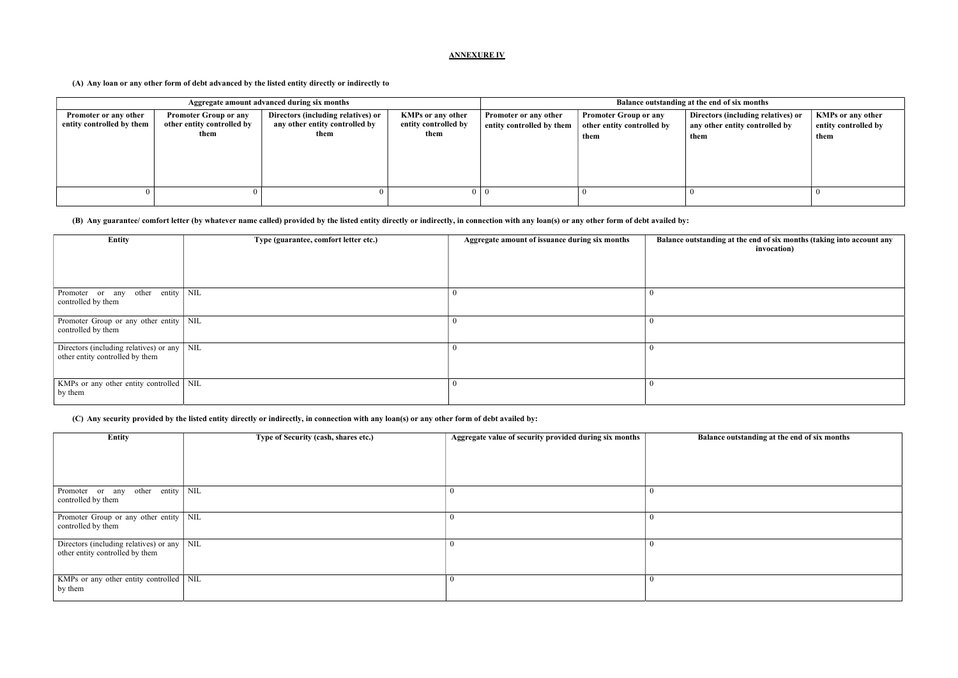# ANNEXURE IV

#### (A) Any loan or any other form of debt advanced by the listed entity directly or indirectly to

| Aggregate amount advanced during six months        |                                                                    |                                                                              |                                                          |                                                           | Balance outstanding at the end of six months                       |                                                                              |                                                          |
|----------------------------------------------------|--------------------------------------------------------------------|------------------------------------------------------------------------------|----------------------------------------------------------|-----------------------------------------------------------|--------------------------------------------------------------------|------------------------------------------------------------------------------|----------------------------------------------------------|
| Promoter or any other<br>entity controlled by them | <b>Promoter Group or any</b><br>other entity controlled by<br>them | Directors (including relatives) or<br>any other entity controlled by<br>them | <b>KMPs or any other</b><br>entity controlled by<br>them | <b>Promoter or any other</b><br>entity controlled by them | <b>Promoter Group or any</b><br>other entity controlled by<br>them | Directors (including relatives) or<br>any other entity controlled by<br>them | <b>KMPs or any other</b><br>entity controlled by<br>them |
|                                                    |                                                                    |                                                                              |                                                          |                                                           |                                                                    |                                                                              |                                                          |

# (B) Any guarantee/ comfort letter (by whatever name called) provided by the listed entity directly or indirectly, in connection with any loan(s) or any other form of debt availed by:

| <b>Entity</b>                                                                         | Type (guarantee, comfort letter etc.) | Aggregate amount of issuance during six months | Balance outstanding at the end of six months (taking into account any<br>invocation) |
|---------------------------------------------------------------------------------------|---------------------------------------|------------------------------------------------|--------------------------------------------------------------------------------------|
| Promoter or any other entity $\vert$ NIL<br>controlled by them                        |                                       |                                                |                                                                                      |
| Promoter Group or any other entity   NIL<br>controlled by them                        |                                       |                                                |                                                                                      |
| Directors (including relatives) or any $\vert$ NIL<br>other entity controlled by them |                                       |                                                |                                                                                      |
| KMPs or any other entity controlled   NIL<br>by them                                  |                                       |                                                |                                                                                      |

# (C) Any security provided by the listed entity directly or indirectly, in connection with any loan(s) or any other form of debt availed by:

| Entity                                                                                | Type of Security (cash, shares etc.) | Aggregate value of security provided during six months | Balance outstanding at the end of six months |
|---------------------------------------------------------------------------------------|--------------------------------------|--------------------------------------------------------|----------------------------------------------|
|                                                                                       |                                      |                                                        |                                              |
|                                                                                       |                                      |                                                        |                                              |
| Promoter or any other entity NIL<br>controlled by them                                |                                      | -0                                                     |                                              |
| Promoter Group or any other entity   NIL<br>controlled by them                        |                                      | 0                                                      |                                              |
| Directors (including relatives) or any $\vert$ NIL<br>other entity controlled by them |                                      | 0                                                      |                                              |
| KMPs or any other entity controlled   NIL<br>by them                                  |                                      |                                                        |                                              |